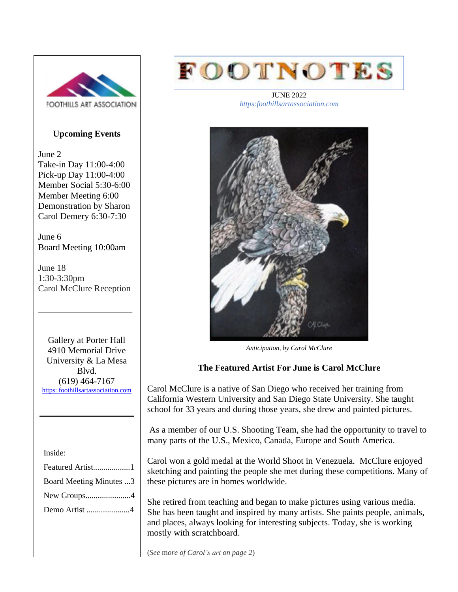

# **Upcoming Events**

June 2 Take-in Day 11:00-4:00 Pick-up Day 11:00-4:00 Member Social 5:30-6:00 Member Meeting 6:00 Demonstration by Sharon Carol Demery 6:30-7:30

June 6 Board Meeting 10:00am

June 18 1:30-3:30pm Carol McClure Reception

\_\_\_\_\_\_\_\_\_\_\_\_\_\_\_\_\_\_\_\_\_

Gallery at Porter Hall 4910 Memorial Drive University & La Mesa Blvd. (619) 464-7167 [https: foothillsartassociation.com](https://foothillsartassociation.com/)

\_\_\_\_\_\_\_\_\_\_\_\_\_\_\_\_\_\_\_\_\_\_\_\_\_\_\_\_

Inside:

| Featured Artist1               |
|--------------------------------|
| <b>Board Meeting Minutes 3</b> |
|                                |
| Demo Artist 4                  |



JUNE 2022 *https:foothillsartassociation.com*



*Anticipation, by Carol McClure*

# **The Featured Artist For June is Carol McClure**

Carol McClure is a native of San Diego who received her training from California Western University and San Diego State University. She taught school for 33 years and during those years, she drew and painted pictures.

As a member of our U.S. Shooting Team, she had the opportunity to travel to many parts of the U.S., Mexico, Canada, Europe and South America.

Carol won a gold medal at the World Shoot in Venezuela. McClure enjoyed sketching and painting the people she met during these competitions. Many of these pictures are in homes worldwide.

She retired from teaching and began to make pictures using various media. She has been taught and inspired by many artists. She paints people, animals, and places, always looking for interesting subjects. Today, she is working mostly with scratchboard.

(*See* m*ore of Carol's art on page 2*)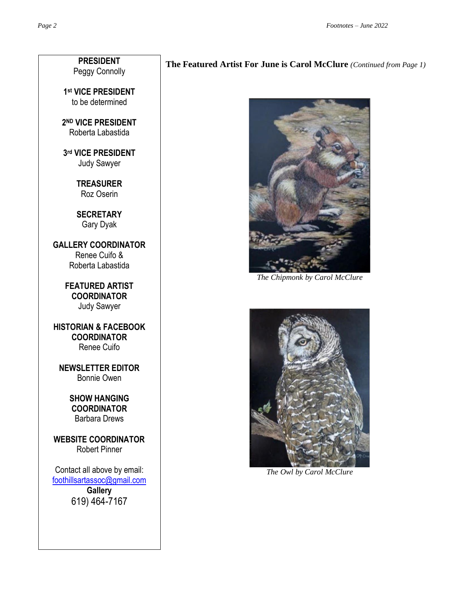**PRESIDENT** Peggy Connolly

**1 st VICE PRESIDENT** to be determined

**2 ND VICE PRESIDENT** Roberta Labastida

**3 rd VICE PRESIDENT** Judy Sawyer

> **TREASURER** Roz Oserin

**SECRETARY** Gary Dyak

**GALLERY COORDINATOR** Renee Cuifo & Roberta Labastida

> **FEATURED ARTIST COORDINATOR** Judy Sawyer

**HISTORIAN & FACEBOOK COORDINATOR** Renee Cuifo

**NEWSLETTER EDITOR** Bonnie Owen

> **SHOW HANGING COORDINATOR** Barbara Drews

**WEBSITE COORDINATOR** Robert Pinner

Contact all above by email: [foothillsartassoc@gmail.com](mailto:foothillsartassoc@gmail.com) **Gallery** 619) 464-7167

# **The Featured Artist For June is Carol McClure** *(Continued from Page 1)*



*The Chipmonk by Carol McClure*



*The Owl by Carol McClure*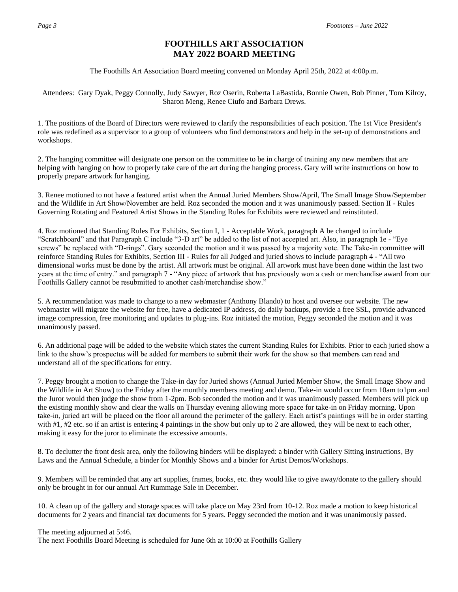## **FOOTHILLS ART ASSOCIATION MAY 2022 BOARD MEETING**

The Foothills Art Association Board meeting convened on Monday April 25th, 2022 at 4:00p.m.

Attendees: Gary Dyak, Peggy Connolly, Judy Sawyer, Roz Oserin, Roberta LaBastida, Bonnie Owen, Bob Pinner, Tom Kilroy, Sharon Meng, Renee Ciufo and Barbara Drews.

1. The positions of the Board of Directors were reviewed to clarify the responsibilities of each position. The 1st Vice President's role was redefined as a supervisor to a group of volunteers who find demonstrators and help in the set-up of demonstrations and workshops.

2. The hanging committee will designate one person on the committee to be in charge of training any new members that are helping with hanging on how to properly take care of the art during the hanging process. Gary will write instructions on how to properly prepare artwork for hanging.

3. Renee motioned to not have a featured artist when the Annual Juried Members Show/April, The Small Image Show/September and the Wildlife in Art Show/November are held. Roz seconded the motion and it was unanimously passed. Section II - Rules Governing Rotating and Featured Artist Shows in the Standing Rules for Exhibits were reviewed and reinstituted.

4. Roz motioned that Standing Rules For Exhibits, Section I, 1 - Acceptable Work, paragraph A be changed to include "Scratchboard" and that Paragraph C include "3-D art" be added to the list of not accepted art. Also, in paragraph 1e - "Eye screws" be replaced with "D-rings". Gary seconded the motion and it was passed by a majority vote. The Take-in committee will reinforce Standing Rules for Exhibits, Section III - Rules for all Judged and juried shows to include paragraph 4 - "All two dimensional works must be done by the artist. All artwork must be original. All artwork must have been done within the last two years at the time of entry." and paragraph 7 - "Any piece of artwork that has previously won a cash or merchandise award from our Foothills Gallery cannot be resubmitted to another cash/merchandise show."

5. A recommendation was made to change to a new webmaster (Anthony Blando) to host and oversee our website. The new webmaster will migrate the website for free, have a dedicated IP address, do daily backups, provide a free SSL, provide advanced image compression, free monitoring and updates to plug-ins. Roz initiated the motion, Peggy seconded the motion and it was unanimously passed.

6. An additional page will be added to the website which states the current Standing Rules for Exhibits. Prior to each juried show a link to the show's prospectus will be added for members to submit their work for the show so that members can read and understand all of the specifications for entry.

7. Peggy brought a motion to change the Take-in day for Juried shows (Annual Juried Member Show, the Small Image Show and the Wildlife in Art Show) to the Friday after the monthly members meeting and demo. Take-in would occur from 10am to1pm and the Juror would then judge the show from 1-2pm. Bob seconded the motion and it was unanimously passed. Members will pick up the existing monthly show and clear the walls on Thursday evening allowing more space for take-in on Friday morning. Upon take-in, juried art will be placed on the floor all around the perimeter of the gallery. Each artist's paintings will be in order starting with #1, #2 etc. so if an artist is entering 4 paintings in the show but only up to 2 are allowed, they will be next to each other, making it easy for the juror to eliminate the excessive amounts.

8. To declutter the front desk area, only the following binders will be displayed: a binder with Gallery Sitting instructions, By Laws and the Annual Schedule, a binder for Monthly Shows and a binder for Artist Demos/Workshops.

9. Members will be reminded that any art supplies, frames, books, etc. they would like to give away/donate to the gallery should only be brought in for our annual Art Rummage Sale in December.

10. A clean up of the gallery and storage spaces will take place on May 23rd from 10-12. Roz made a motion to keep historical documents for 2 years and financial tax documents for 5 years. Peggy seconded the motion and it was unanimously passed.

The meeting adjourned at 5:46. The next Foothills Board Meeting is scheduled for June 6th at 10:00 at Foothills Gallery